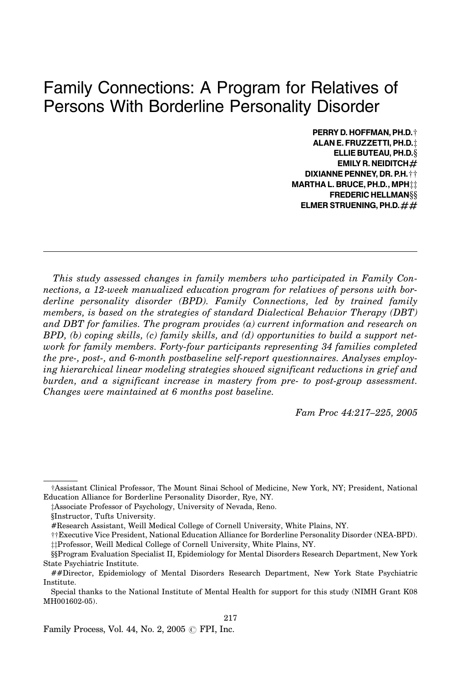# Family Connections: A Program for Relatives of Persons With Borderline Personality Disorder

PERRY D. HOFFMAN, PH.D.+ ALAN E. FRUZZETTI, PH.D.<sup>+</sup> ELLIE BUTEAU, PH.D.‰ EMILY R. NEIDITCH $#$ DIXIANNE PENNEY, DR. P.H. † † **MARTHA L. BRUCE, PH.D., MPH**il FREDERIC HELLMAN‰‰ ELMER STRUENING, PH.D.  $\#$ #

This study assessed changes in family members who participated in Family Connections, a 12-week manualized education program for relatives of persons with borderline personality disorder (BPD). Family Connections, led by trained family members, is based on the strategies of standard Dialectical Behavior Therapy (DBT) and DBT for families. The program provides (a) current information and research on  $BPD$ , (b) coping skills, (c) family skills, and (d) opportunities to build a support network for family members. Forty-four participants representing 34 families completed the pre-, post-, and 6-month postbaseline self-report questionnaires. Analyses employing hierarchical linear modeling strategies showed significant reductions in grief and burden, and a significant increase in mastery from pre- to post-group assessment. Changes were maintained at 6 months post baseline.

Fam Proc 44:217–225, 2005

zAssociate Professor of Psychology, University of Nevada, Reno.

 $\dagger$ Assistant Clinical Professor, The Mount Sinai School of Medicine, New York, NY; President, National Education Alliance for Borderline Personality Disorder, Rye, NY.

<sup>§</sup>Instructor, Tufts University.

<sup>#</sup>Research Assistant, Weill Medical College of Cornell University, White Plains, NY.

wwExecutive Vice President, National Education Alliance for Borderline Personality Disorder (NEA-BPD). ##Professor, Weill Medical College of Cornell University, White Plains, NY.

<sup>‰‰</sup>Program Evaluation Specialist II, Epidemiology for Mental Disorders Research Department, New York State Psychiatric Institute.

<sup>##</sup>Director, Epidemiology of Mental Disorders Research Department, New York State Psychiatric Institute.

Special thanks to the National Institute of Mental Health for support for this study (NIMH Grant K08 MH001602-05).

Family Process, Vol. 44, No. 2, 2005  $\circ$  FPI, Inc.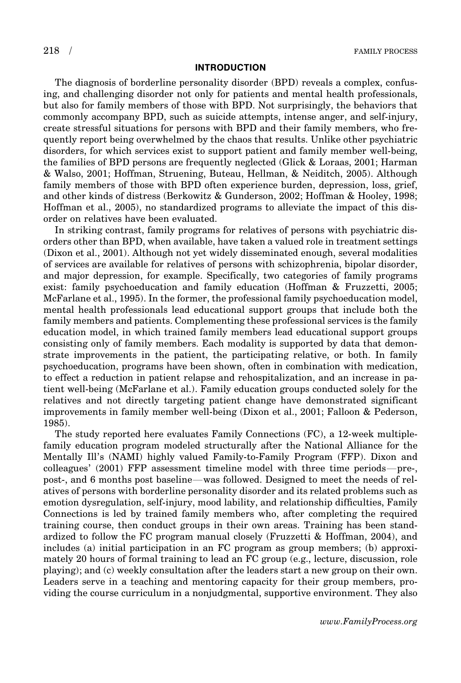#### INTRODUCTION

The diagnosis of borderline personality disorder (BPD) reveals a complex, confusing, and challenging disorder not only for patients and mental health professionals, but also for family members of those with BPD. Not surprisingly, the behaviors that commonly accompany BPD, such as suicide attempts, intense anger, and self-injury, create stressful situations for persons with BPD and their family members, who frequently report being overwhelmed by the chaos that results. Unlike other psychiatric disorders, for which services exist to support patient and family member well-being, the families of BPD persons are frequently neglected (Glick & Loraas, 2001; Harman & Walso, 2001; Hoffman, Struening, Buteau, Hellman, & Neiditch, 2005). Although family members of those with BPD often experience burden, depression, loss, grief, and other kinds of distress (Berkowitz & Gunderson, 2002; Hoffman & Hooley, 1998; Hoffman et al., 2005), no standardized programs to alleviate the impact of this disorder on relatives have been evaluated.

In striking contrast, family programs for relatives of persons with psychiatric disorders other than BPD, when available, have taken a valued role in treatment settings (Dixon et al., 2001). Although not yet widely disseminated enough, several modalities of services are available for relatives of persons with schizophrenia, bipolar disorder, and major depression, for example. Specifically, two categories of family programs exist: family psychoeducation and family education (Hoffman & Fruzzetti, 2005; McFarlane et al., 1995). In the former, the professional family psychoeducation model, mental health professionals lead educational support groups that include both the family members and patients. Complementing these professional services is the family education model, in which trained family members lead educational support groups consisting only of family members. Each modality is supported by data that demonstrate improvements in the patient, the participating relative, or both. In family psychoeducation, programs have been shown, often in combination with medication, to effect a reduction in patient relapse and rehospitalization, and an increase in patient well-being (McFarlane et al.). Family education groups conducted solely for the relatives and not directly targeting patient change have demonstrated significant improvements in family member well-being (Dixon et al., 2001; Falloon & Pederson, 1985).

The study reported here evaluates Family Connections (FC), a 12-week multiplefamily education program modeled structurally after the National Alliance for the Mentally Ill's (NAMI) highly valued Family-to-Family Program (FFP). Dixon and colleagues'  $(2001)$  FFP assessment timeline model with three time periods—pre-, post-, and 6 months post baseline—was followed. Designed to meet the needs of relatives of persons with borderline personality disorder and its related problems such as emotion dysregulation, self-injury, mood lability, and relationship difficulties, Family Connections is led by trained family members who, after completing the required training course, then conduct groups in their own areas. Training has been standardized to follow the FC program manual closely (Fruzzetti & Hoffman, 2004), and includes (a) initial participation in an FC program as group members; (b) approximately 20 hours of formal training to lead an FC group (e.g., lecture, discussion, role playing); and (c) weekly consultation after the leaders start a new group on their own. Leaders serve in a teaching and mentoring capacity for their group members, providing the course curriculum in a nonjudgmental, supportive environment. They also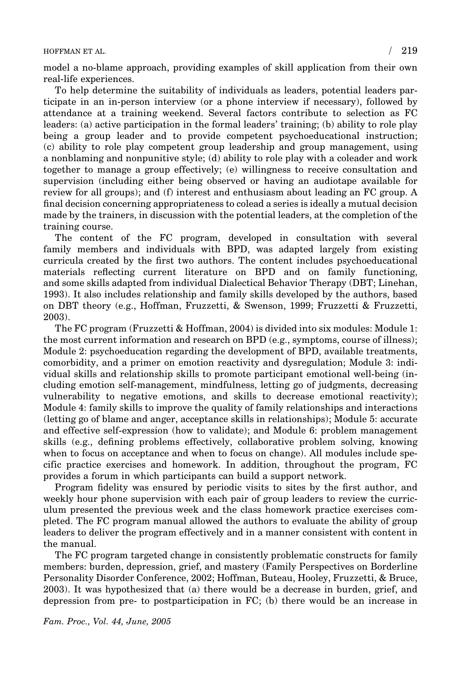model a no-blame approach, providing examples of skill application from their own real-life experiences.

To help determine the suitability of individuals as leaders, potential leaders participate in an in-person interview (or a phone interview if necessary), followed by attendance at a training weekend. Several factors contribute to selection as FC leaders: (a) active participation in the formal leaders' training; (b) ability to role play being a group leader and to provide competent psychoeducational instruction; (c) ability to role play competent group leadership and group management, using a nonblaming and nonpunitive style; (d) ability to role play with a coleader and work together to manage a group effectively; (e) willingness to receive consultation and supervision (including either being observed or having an audiotape available for review for all groups); and (f) interest and enthusiasm about leading an FC group. A final decision concerning appropriateness to colead a series is ideally a mutual decision made by the trainers, in discussion with the potential leaders, at the completion of the training course.

The content of the FC program, developed in consultation with several family members and individuals with BPD, was adapted largely from existing curricula created by the first two authors. The content includes psychoeducational materials reflecting current literature on BPD and on family functioning, and some skills adapted from individual Dialectical Behavior Therapy (DBT; Linehan, 1993). It also includes relationship and family skills developed by the authors, based on DBT theory (e.g., Hoffman, Fruzzetti, & Swenson, 1999; Fruzzetti & Fruzzetti, 2003).

The FC program (Fruzzetti & Hoffman, 2004) is divided into six modules: Module 1: the most current information and research on BPD (e.g., symptoms, course of illness); Module 2: psychoeducation regarding the development of BPD, available treatments, comorbidity, and a primer on emotion reactivity and dysregulation; Module 3: individual skills and relationship skills to promote participant emotional well-being (including emotion self-management, mindfulness, letting go of judgments, decreasing vulnerability to negative emotions, and skills to decrease emotional reactivity); Module 4: family skills to improve the quality of family relationships and interactions (letting go of blame and anger, acceptance skills in relationships); Module 5: accurate and effective self-expression (how to validate); and Module 6: problem management skills (e.g., defining problems effectively, collaborative problem solving, knowing when to focus on acceptance and when to focus on change). All modules include specific practice exercises and homework. In addition, throughout the program, FC provides a forum in which participants can build a support network.

Program fidelity was ensured by periodic visits to sites by the first author, and weekly hour phone supervision with each pair of group leaders to review the curriculum presented the previous week and the class homework practice exercises completed. The FC program manual allowed the authors to evaluate the ability of group leaders to deliver the program effectively and in a manner consistent with content in the manual.

The FC program targeted change in consistently problematic constructs for family members: burden, depression, grief, and mastery (Family Perspectives on Borderline Personality Disorder Conference, 2002; Hoffman, Buteau, Hooley, Fruzzetti, & Bruce, 2003). It was hypothesized that (a) there would be a decrease in burden, grief, and depression from pre- to postparticipation in FC; (b) there would be an increase in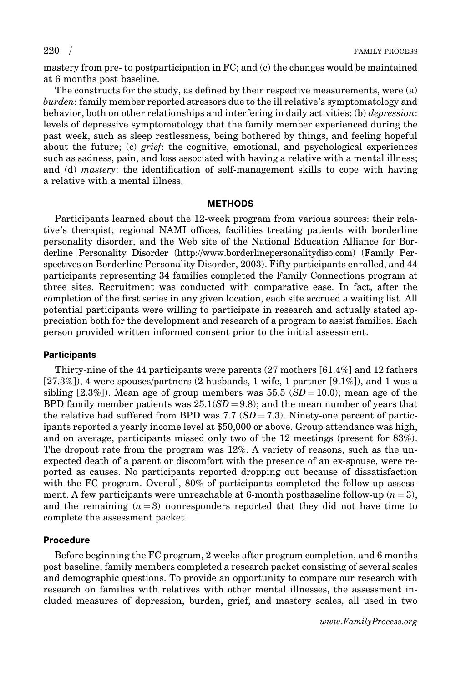mastery from pre- to postparticipation in FC; and (c) the changes would be maintained at 6 months post baseline.

The constructs for the study, as defined by their respective measurements, were (a) burden: family member reported stressors due to the ill relative's symptomatology and behavior, both on other relationships and interfering in daily activities; (b) *depression*: levels of depressive symptomatology that the family member experienced during the past week, such as sleep restlessness, being bothered by things, and feeling hopeful about the future; (c) grief: the cognitive, emotional, and psychological experiences such as sadness, pain, and loss associated with having a relative with a mental illness; and (d) mastery: the identification of self-management skills to cope with having a relative with a mental illness.

# METHODS

Participants learned about the 12-week program from various sources: their relative's therapist, regional NAMI offices, facilities treating patients with borderline personality disorder, and the Web site of the National Education Alliance for Borderline Personality Disorder (http://www.borderlinepersonalitydiso.com) (Family Perspectives on Borderline Personality Disorder, 2003). Fifty participants enrolled, and 44 participants representing 34 families completed the Family Connections program at three sites. Recruitment was conducted with comparative ease. In fact, after the completion of the first series in any given location, each site accrued a waiting list. All potential participants were willing to participate in research and actually stated appreciation both for the development and research of a program to assist families. Each person provided written informed consent prior to the initial assessment.

# **Participants**

Thirty-nine of the 44 participants were parents (27 mothers [61.4%] and 12 fathers  $[27.3\%]$ , 4 were spouses/partners (2 husbands, 1 wife, 1 partner [9.1%]), and 1 was a sibling  $[2.3\%]$ ). Mean age of group members was 55.5 ( $SD = 10.0$ ); mean age of the BPD family member patients was  $25.1(SD = 9.8)$ ; and the mean number of years that the relative had suffered from BPD was 7.7  $(SD = 7.3)$ . Ninety-one percent of participants reported a yearly income level at \$50,000 or above. Group attendance was high, and on average, participants missed only two of the 12 meetings (present for 83%). The dropout rate from the program was 12%. A variety of reasons, such as the unexpected death of a parent or discomfort with the presence of an ex-spouse, were reported as causes. No participants reported dropping out because of dissatisfaction with the FC program. Overall, 80% of participants completed the follow-up assessment. A few participants were unreachable at 6-month postbaseline follow-up  $(n = 3)$ , and the remaining  $(n = 3)$  nonresponders reported that they did not have time to complete the assessment packet.

## Procedure

Before beginning the FC program, 2 weeks after program completion, and 6 months post baseline, family members completed a research packet consisting of several scales and demographic questions. To provide an opportunity to compare our research with research on families with relatives with other mental illnesses, the assessment included measures of depression, burden, grief, and mastery scales, all used in two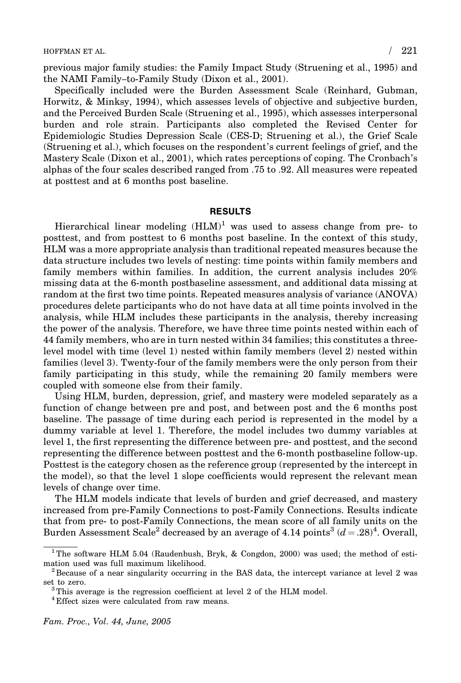previous major family studies: the Family Impact Study (Struening et al., 1995) and the NAMI Family–to-Family Study (Dixon et al., 2001).

Specifically included were the Burden Assessment Scale (Reinhard, Gubman, Horwitz, & Minksy, 1994), which assesses levels of objective and subjective burden, and the Perceived Burden Scale (Struening et al., 1995), which assesses interpersonal burden and role strain. Participants also completed the Revised Center for Epidemiologic Studies Depression Scale (CES-D; Struening et al.), the Grief Scale (Struening et al.), which focuses on the respondent's current feelings of grief, and the Mastery Scale (Dixon et al., 2001), which rates perceptions of coping. The Cronbach's alphas of the four scales described ranged from .75 to .92. All measures were repeated at posttest and at 6 months post baseline.

## RESULTS

Hierarchical linear modeling  $(HLM)^1$  was used to assess change from pre- to posttest, and from posttest to 6 months post baseline. In the context of this study, HLM was a more appropriate analysis than traditional repeated measures because the data structure includes two levels of nesting: time points within family members and family members within families. In addition, the current analysis includes 20% missing data at the 6-month postbaseline assessment, and additional data missing at random at the first two time points. Repeated measures analysis of variance (ANOVA) procedures delete participants who do not have data at all time points involved in the analysis, while HLM includes these participants in the analysis, thereby increasing the power of the analysis. Therefore, we have three time points nested within each of 44 family members, who are in turn nested within 34 families; this constitutes a threelevel model with time (level 1) nested within family members (level 2) nested within families (level 3). Twenty-four of the family members were the only person from their family participating in this study, while the remaining 20 family members were coupled with someone else from their family.

Using HLM, burden, depression, grief, and mastery were modeled separately as a function of change between pre and post, and between post and the 6 months post baseline. The passage of time during each period is represented in the model by a dummy variable at level 1. Therefore, the model includes two dummy variables at level 1, the first representing the difference between pre- and posttest, and the second representing the difference between posttest and the 6-month postbaseline follow-up. Posttest is the category chosen as the reference group (represented by the intercept in the model), so that the level 1 slope coefficients would represent the relevant mean levels of change over time.

The HLM models indicate that levels of burden and grief decreased, and mastery increased from pre-Family Connections to post-Family Connections. Results indicate that from pre- to post-Family Connections, the mean score of all family units on the Burden Assessment Scale<sup>2</sup> decreased by an average of 4.14 points<sup>3</sup> ( $d = .28$ )<sup>4</sup>. Overall,

<sup>4</sup> Effect sizes were calculated from raw means.

<sup>&</sup>lt;sup>1</sup> The software HLM 5.04 (Raudenbush, Bryk, & Congdon, 2000) was used; the method of estimation used was full maximum likelihood.<br><sup>2</sup>Because of a near singularity occurring in the BAS data, the intercept variance at level 2 was

set to zero.  $3$ This average is the regression coefficient at level 2 of the HLM model.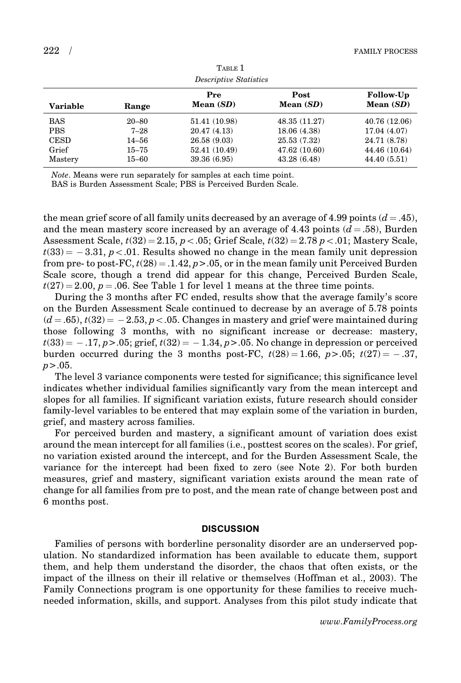| <b>Descriptive Statistics</b> |           |                    |                     |                          |
|-------------------------------|-----------|--------------------|---------------------|--------------------------|
| Variable                      | Range     | Pre<br>Mean $(SD)$ | Post<br>Mean $(SD)$ | Follow-Up<br>Mean $(SD)$ |
| BAS                           | $20 - 80$ | 51.41 (10.98)      | 48.35 (11.27)       | 40.76 (12.06)            |
| <b>PBS</b>                    | $7 - 28$  | 20.47(4.13)        | 18.06(4.38)         | 17.04 (4.07)             |
| <b>CESD</b>                   | 14–56     | 26.58(9.03)        | 25.53(7.32)         | 24.71 (8.78)             |
| Grief                         | $15 - 75$ | 52.41 (10.49)      | 47.62 (10.60)       | 44.46 (10.64)            |
| Mastery                       | $15 - 60$ | 39.36 (6.95)       | 43.28(6.48)         | 44.40(5.51)              |

| TABLE 1                |  |  |  |  |
|------------------------|--|--|--|--|
| Descriptive Statistics |  |  |  |  |

Note. Means were run separately for samples at each time point.

BAS is Burden Assessment Scale; PBS is Perceived Burden Scale.

the mean grief score of all family units decreased by an average of 4.99 points  $(d = .45)$ , and the mean mastery score increased by an average of 4.43 points  $(d = .58)$ , Burden Assessment Scale,  $t(32) = 2.15$ ,  $p < .05$ ; Grief Scale,  $t(32) = 2.78$   $p < .01$ ; Mastery Scale,  $t(33) = -3.31$ ,  $p < 0.01$ . Results showed no change in the mean family unit depression from pre- to post-FC,  $t(28) = .1.42$ ,  $p > .05$ , or in the mean family unit Perceived Burden Scale score, though a trend did appear for this change, Perceived Burden Scale,  $t(27) = 2.00$ ,  $p = .06$ . See Table 1 for level 1 means at the three time points.

During the 3 months after FC ended, results show that the average family's score on the Burden Assessment Scale continued to decrease by an average of 5.78 points  $(d = .65)$ ,  $t(32) = -2.53$ ,  $p < .05$ . Changes in mastery and grief were maintained during those following 3 months, with no significant increase or decrease: mastery,  $t(33) = -.17, p > .05$ ; grief,  $t(32) = -.134, p > .05$ . No change in depression or perceived burden occurred during the 3 months post-FC,  $t(28) = 1.66$ ,  $p > .05$ ;  $t(27) = -.37$ ,  $p > .05$ .

The level 3 variance components were tested for significance; this significance level indicates whether individual families significantly vary from the mean intercept and slopes for all families. If significant variation exists, future research should consider family-level variables to be entered that may explain some of the variation in burden, grief, and mastery across families.

For perceived burden and mastery, a significant amount of variation does exist around the mean intercept for all families (i.e., posttest scores on the scales). For grief, no variation existed around the intercept, and for the Burden Assessment Scale, the variance for the intercept had been fixed to zero (see Note 2). For both burden measures, grief and mastery, significant variation exists around the mean rate of change for all families from pre to post, and the mean rate of change between post and 6 months post.

#### **DISCUSSION**

Families of persons with borderline personality disorder are an underserved population. No standardized information has been available to educate them, support them, and help them understand the disorder, the chaos that often exists, or the impact of the illness on their ill relative or themselves (Hoffman et al., 2003). The Family Connections program is one opportunity for these families to receive muchneeded information, skills, and support. Analyses from this pilot study indicate that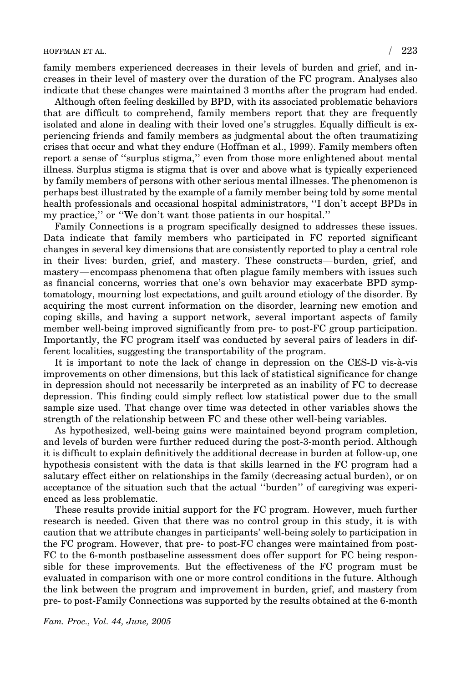family members experienced decreases in their levels of burden and grief, and increases in their level of mastery over the duration of the FC program. Analyses also indicate that these changes were maintained 3 months after the program had ended.

Although often feeling deskilled by BPD, with its associated problematic behaviors that are difficult to comprehend, family members report that they are frequently isolated and alone in dealing with their loved one's struggles. Equally difficult is experiencing friends and family members as judgmental about the often traumatizing crises that occur and what they endure (Hoffman et al., 1999). Family members often report a sense of ''surplus stigma,'' even from those more enlightened about mental illness. Surplus stigma is stigma that is over and above what is typically experienced by family members of persons with other serious mental illnesses. The phenomenon is perhaps best illustrated by the example of a family member being told by some mental health professionals and occasional hospital administrators, ''I don't accept BPDs in my practice,'' or ''We don't want those patients in our hospital.''

Family Connections is a program specifically designed to addresses these issues. Data indicate that family members who participated in FC reported significant changes in several key dimensions that are consistently reported to play a central role in their lives: burden, grief, and mastery. These constructs—burden, grief, and mastery—encompass phenomena that often plague family members with issues such as financial concerns, worries that one's own behavior may exacerbate BPD symptomatology, mourning lost expectations, and guilt around etiology of the disorder. By acquiring the most current information on the disorder, learning new emotion and coping skills, and having a support network, several important aspects of family member well-being improved significantly from pre- to post-FC group participation. Importantly, the FC program itself was conducted by several pairs of leaders in different localities, suggesting the transportability of the program.

It is important to note the lack of change in depression on the CES-D vis-à-vis improvements on other dimensions, but this lack of statistical significance for change in depression should not necessarily be interpreted as an inability of FC to decrease depression. This finding could simply reflect low statistical power due to the small sample size used. That change over time was detected in other variables shows the strength of the relationship between FC and these other well-being variables.

As hypothesized, well-being gains were maintained beyond program completion, and levels of burden were further reduced during the post-3-month period. Although it is difficult to explain definitively the additional decrease in burden at follow-up, one hypothesis consistent with the data is that skills learned in the FC program had a salutary effect either on relationships in the family (decreasing actual burden), or on acceptance of the situation such that the actual ''burden'' of caregiving was experienced as less problematic.

These results provide initial support for the FC program. However, much further research is needed. Given that there was no control group in this study, it is with caution that we attribute changes in participants' well-being solely to participation in the FC program. However, that pre- to post-FC changes were maintained from post-FC to the 6-month postbaseline assessment does offer support for FC being responsible for these improvements. But the effectiveness of the FC program must be evaluated in comparison with one or more control conditions in the future. Although the link between the program and improvement in burden, grief, and mastery from pre- to post-Family Connections was supported by the results obtained at the 6-month

Fam. Proc., Vol. 44, June, 2005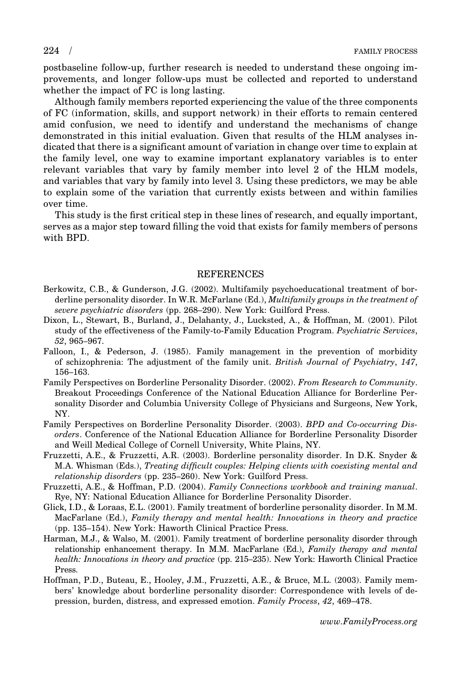postbaseline follow-up, further research is needed to understand these ongoing improvements, and longer follow-ups must be collected and reported to understand whether the impact of FC is long lasting.

Although family members reported experiencing the value of the three components of FC (information, skills, and support network) in their efforts to remain centered amid confusion, we need to identify and understand the mechanisms of change demonstrated in this initial evaluation. Given that results of the HLM analyses indicated that there is a significant amount of variation in change over time to explain at the family level, one way to examine important explanatory variables is to enter relevant variables that vary by family member into level 2 of the HLM models, and variables that vary by family into level 3. Using these predictors, we may be able to explain some of the variation that currently exists between and within families over time.

This study is the first critical step in these lines of research, and equally important, serves as a major step toward filling the void that exists for family members of persons with BPD.

## REFERENCES

- Berkowitz, C.B., & Gunderson, J.G. (2002). Multifamily psychoeducational treatment of borderline personality disorder. In W.R. McFarlane (Ed.), *Multifamily groups in the treatment of* severe psychiatric disorders (pp. 268–290). New York: Guilford Press.
- Dixon, L., Stewart, B., Burland, J., Delahanty, J., Lucksted, A., & Hoffman, M. (2001). Pilot study of the effectiveness of the Family-to-Family Education Program. Psychiatric Services, 52, 965–967.
- Falloon, I., & Pederson, J. (1985). Family management in the prevention of morbidity of schizophrenia: The adjustment of the family unit. British Journal of Psychiatry, 147, 156–163.
- Family Perspectives on Borderline Personality Disorder. (2002). From Research to Community. Breakout Proceedings Conference of the National Education Alliance for Borderline Personality Disorder and Columbia University College of Physicians and Surgeons, New York, NY.
- Family Perspectives on Borderline Personality Disorder. (2003). BPD and Co-occurring Disorders. Conference of the National Education Alliance for Borderline Personality Disorder and Weill Medical College of Cornell University, White Plains, NY.
- Fruzzetti, A.E., & Fruzzetti, A.R. (2003). Borderline personality disorder. In D.K. Snyder & M.A. Whisman (Eds.), Treating difficult couples: Helping clients with coexisting mental and relationship disorders (pp. 235–260). New York: Guilford Press.
- Fruzzetti, A.E., & Hoffman, P.D. (2004). Family Connections workbook and training manual. Rye, NY: National Education Alliance for Borderline Personality Disorder.
- Glick, I.D., & Loraas, E.L. (2001). Family treatment of borderline personality disorder. In M.M. MacFarlane (Ed.), Family therapy and mental health: Innovations in theory and practice (pp. 135–154). New York: Haworth Clinical Practice Press.
- Harman, M.J., & Walso, M. (2001). Family treatment of borderline personality disorder through relationship enhancement therapy. In M.M. MacFarlane (Ed.), Family therapy and mental health: Innovations in theory and practice (pp. 215–235). New York: Haworth Clinical Practice Press.
- Hoffman, P.D., Buteau, E., Hooley, J.M., Fruzzetti, A.E., & Bruce, M.L. (2003). Family members' knowledge about borderline personality disorder: Correspondence with levels of depression, burden, distress, and expressed emotion. Family Process, 42, 469–478.